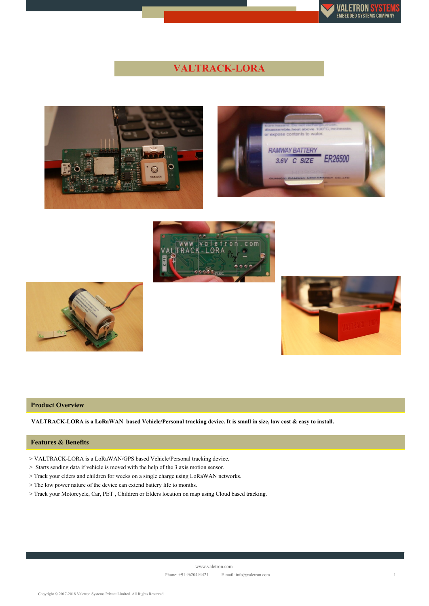

# **VALTRACK-LORA**











### **Product Overview**

VALTRACK-LORA is a LoRaWAN based Vehicle/Personal tracking device. It is small in size, low cost & easy to install.

#### **Features & Benefits**

> VALTRACK-LORA is a LoRaWAN/GPS based Vehicle/Personal tracking device.

> Starts sending data if vehicle is moved with the help of the 3 axis motion sensor.

> Track your elders and children for weeks on a single charge using LoRaWAN networks.

> The low power nature of the device can extend battery life to months.

> Track your Motorcycle, Car, PET , Children or Elders location on map using Cloud based tracking.

Copyright © 2017-2018 Valetron Systems Private Limited. All Rights Reserved.

www.valetron.com

Phone: +91 9620494421 E-mail: info@valetron.com 1